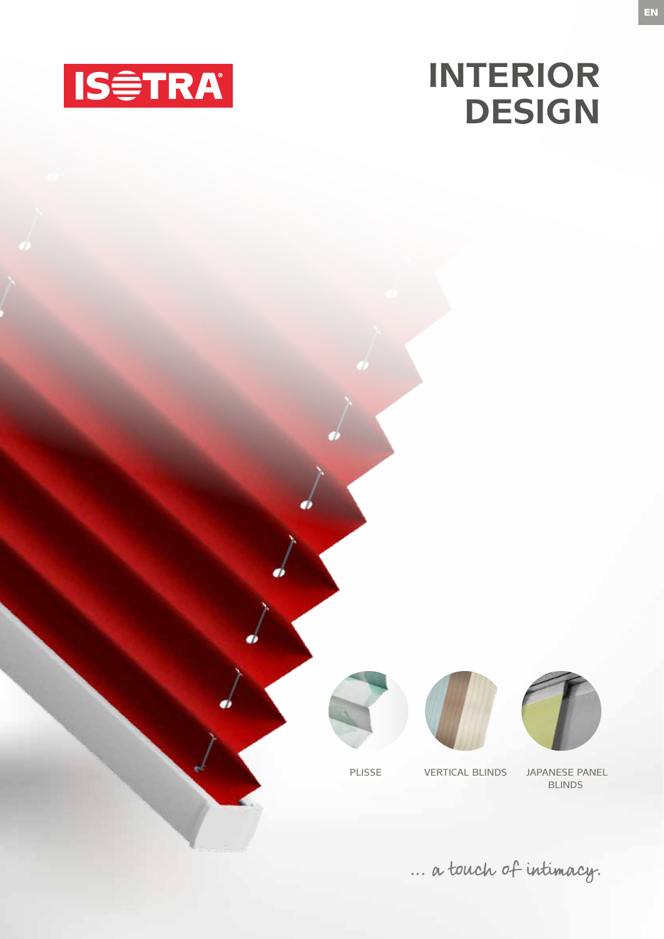

# **INTERIOR DESIGN**

PLISSE VERTICAL BLINDS





 JAPANESE PANEL BLINDS

**... a touch of intimacy.**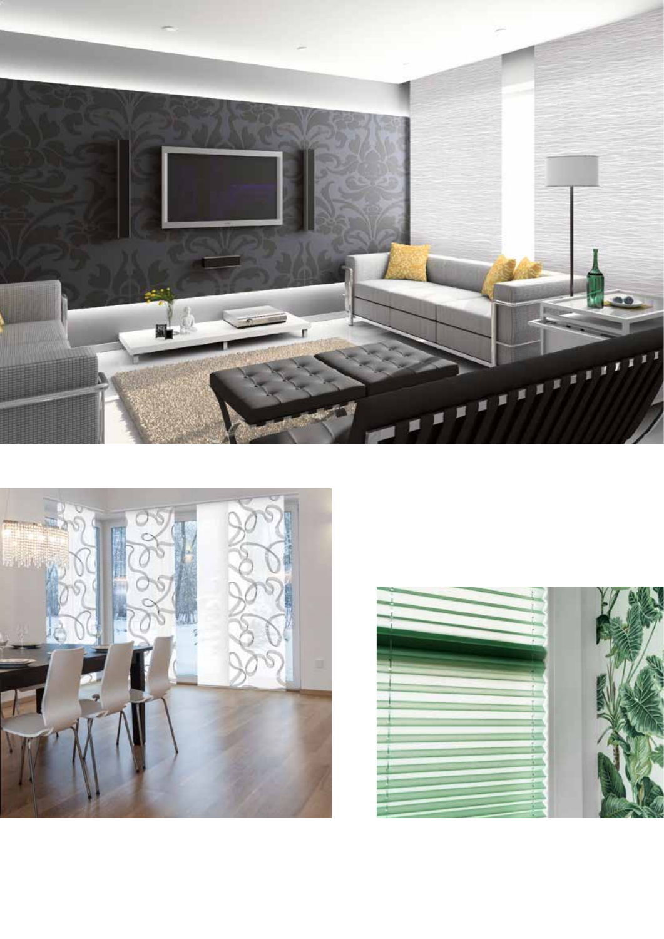



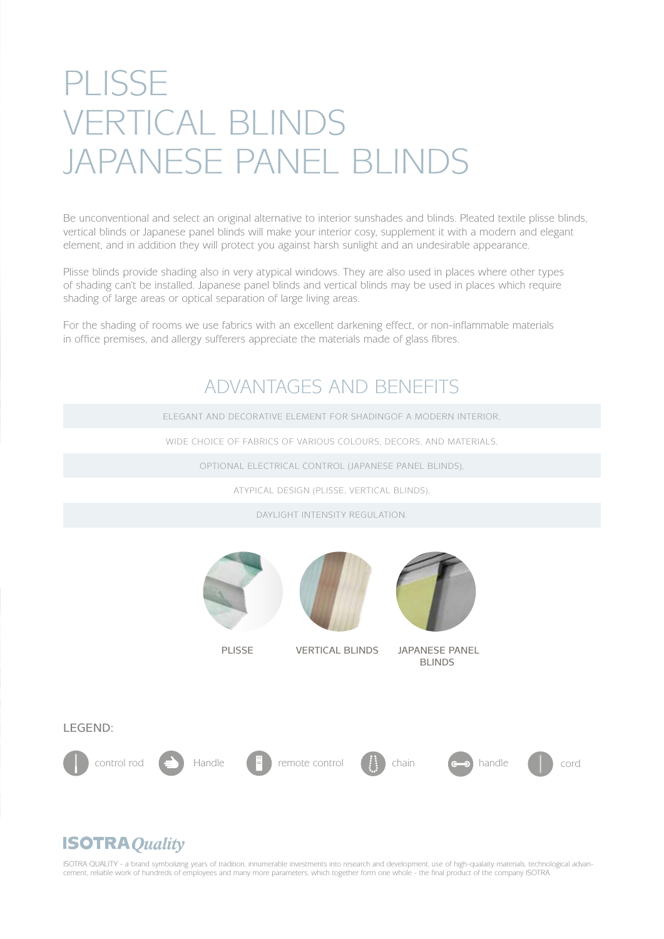# PLISSE VERTICAL BLINDS JAPANESE PANEL BLINDS

Be unconventional and select an original alternative to interior sunshades and blinds. Pleated textile plisse blinds, vertical blinds or Japanese panel blinds will make your interior cosy, supplement it with a modern and elegant element, and in addition they will protect you against harsh sunlight and an undesirable appearance.

Plisse blinds provide shading also in very atypical windows. They are also used in places where other types of shading can't be installed. Japanese panel blinds and vertical blinds may be used in places which require shading of large areas or optical separation of large living areas.

For the shading of rooms we use fabrics with an excellent darkening effect, or non-inflammable materials in office premises, and allergy sufferers appreciate the materials made of glass fibres.

#### ADVANTAGES AND BENEFITS

ELEGANT AND DECORATIVE ELEMENT FOR SHADINGOF A MODERN INTERIOR,

WIDE CHOICE OF FABRICS OF VARIOUS COLOURS, DECORS, AND MATERIALS,

OPTIONAL ELECTRICAL CONTROL (JAPANESE PANEL BLINDS),

ATYPICAL DESIGN (PLISSE, VERTICAL BLINDS),

DAYLIGHT INTENSITY REGULATION.





PLISSE VERTICAL BLINDS



 JAPANESE PANEL BLINDS















#### **ISOTRA Quality**

ISOTRA QUALITY - a brand symbolizing years of tradition, innumerable investments into research and development, use of high-qualaity materials, technological advancement, reliable work of hundreds of employees and many more parameters, which together form one whole - the final product of the company ISOTRA.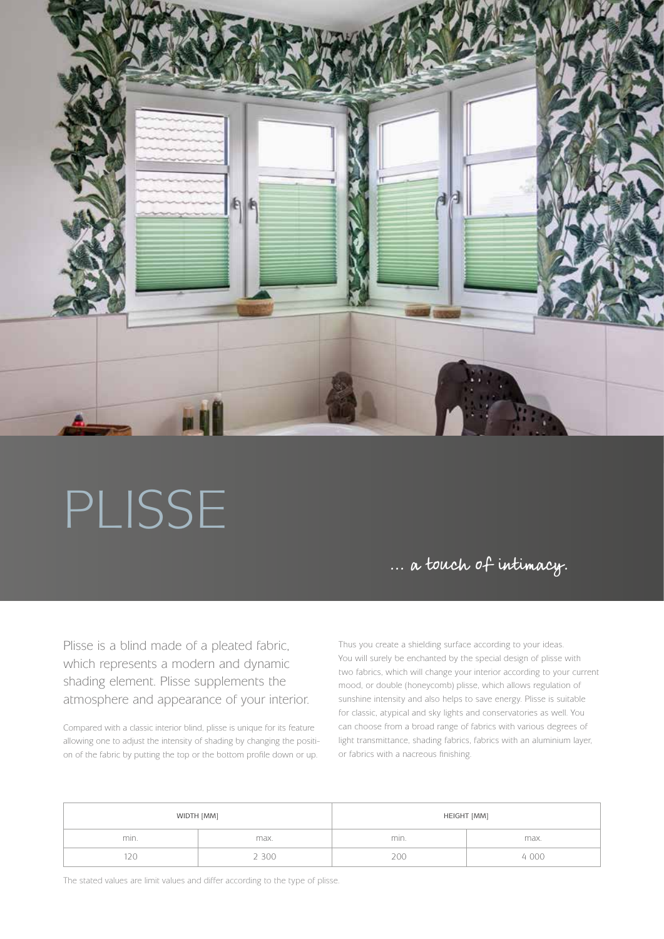

# PLISSE

#### **... a touch of intimacy.**

Plisse is a blind made of a pleated fabric, which represents a modern and dynamic shading element. Plisse supplements the atmosphere and appearance of your interior.

Compared with a classic interior blind, plisse is unique for its feature allowing one to adjust the intensity of shading by changing the position of the fabric by putting the top or the bottom profile down or up.

Thus you create a shielding surface according to your ideas. You will surely be enchanted by the special design of plisse with two fabrics, which will change your interior according to your current mood, or double (honeycomb) plisse, which allows regulation of sunshine intensity and also helps to save energy. Plisse is suitable for classic, atypical and sky lights and conservatories as well. You can choose from a broad range of fabrics with various degrees of light transmittance, shading fabrics, fabrics with an aluminium layer, or fabrics with a nacreous finishing.

| WIDTH [MM]               |       | HEIGHT [MM] |         |  |
|--------------------------|-------|-------------|---------|--|
| min.                     | max.  | min.        | max.    |  |
| $\cdot \cap \cap$<br>IZU | 2 300 | 200         | 4 0 0 0 |  |

The stated values are limit values and differ according to the type of plisse.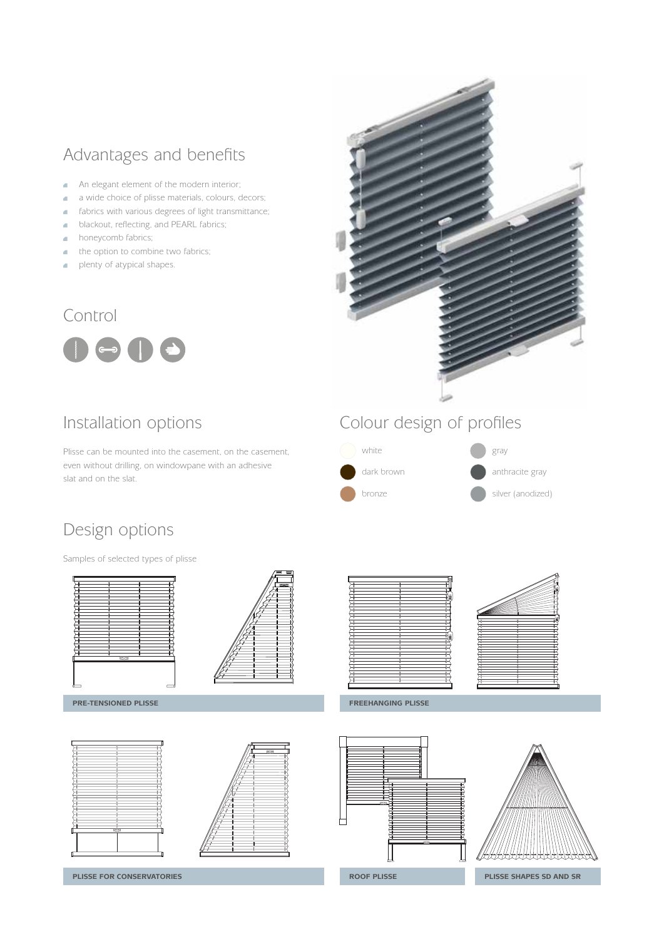#### Advantages and benefits

- An elegant element of the modern interior;
- a wide choice of plisse materials, colours, decors;
- fabrics with various degrees of light transmittance;  $\mathcal{L}^{\pm}$
- blackout, reflecting, and PEARL fabrics;  $\hat{\mathbf{r}}$
- **honeycomb fabrics;**
- the option to combine two fabrics;  $\mathcal{L}$
- plenty of atypical shapes.  $\mathbf{A}$



#### Installation options

Plisse can be mounted into the casement, on the casement, even without drilling, on windowpane with an adhesive slat and on the slat.

#### Colour design of profiles



#### Design options

Samples of selected types of plisse





**PRE-TENSIONED PLISSE**



**PLISSE FOR CONSERVATORIES ROOF PLISSE PLISSE SHAPES SD AND SR**



**FREEHANGING PLISSE**



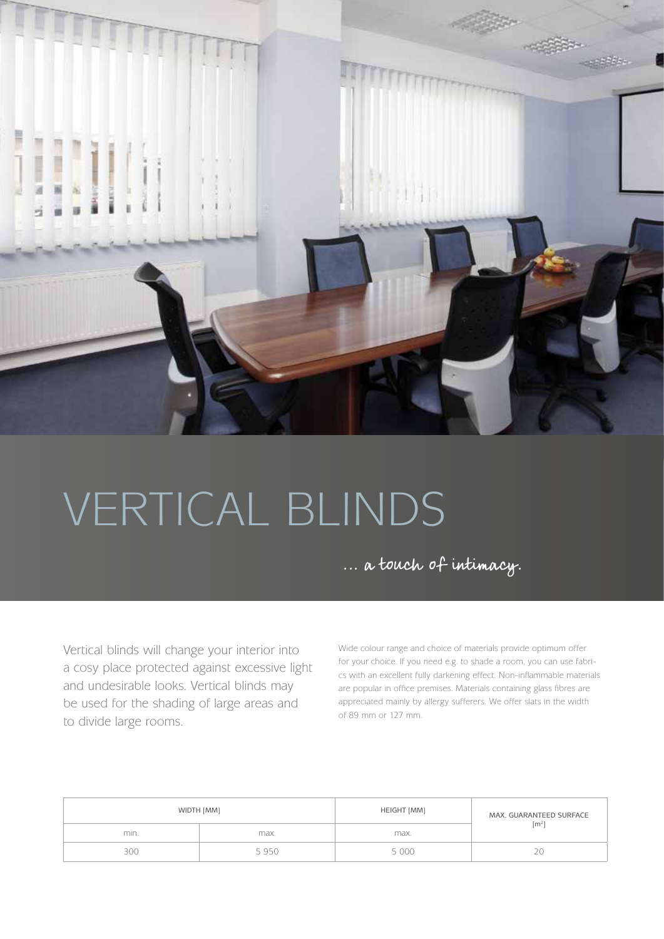

# VERTICAL BLINDS

**... a touch of intimacy.**

Vertical blinds will change your interior into a cosy place protected against excessive light and undesirable looks. Vertical blinds may be used for the shading of large areas and to divide large rooms.

Wide colour range and choice of materials provide optimum offer for your choice. If you need e.g. to shade a room, you can use fabrics with an excellent fully darkening effect. Non-inflammable materials are popular in office premises. Materials containing glass fibres are appreciated mainly by allergy sufferers. We offer slats in the width of 89 mm or 127 mm.

| WIDTH [MM] |      | HEIGHT [MM] | MAX. GUARANTEED SURFACE |  |
|------------|------|-------------|-------------------------|--|
| min.       | max. | max.        | $\lceil m^2 \rceil$     |  |
| 300        | 5950 | 5 0 0 0     | 20                      |  |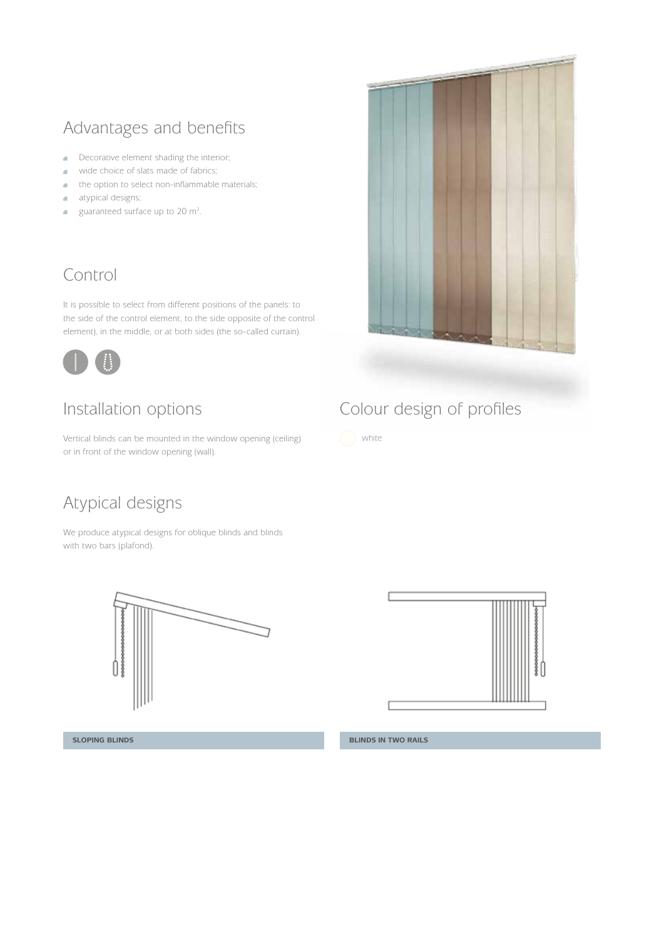#### Advantages and benefits

- **Decorative element shading the interior;**
- $\overline{\phantom{a}}$ wide choice of slats made of fabrics;
- the option to select non-inflammable materials;  $\hat{\mathbf{a}}$
- atypical designs;  $\sim$
- a. guaranteed surface up to 20  $m^2$ .

#### Control

It is possible to select from different positions of the panels: to the side of the control element, to the side opposite of the control element), in the middle, or at both sides (the so-called curtain).



#### Installation options

Vertical blinds can be mounted in the window opening (ceiling) or in front of the window opening (wall).

#### Atypical designs

We produce atypical designs for oblique blinds and blinds with two bars (plafond).





**SLOPING BLINDS BLINDS BLINDS BLINDS BLINDS BLINDS BLINDS BLINDS BLINDS BLINDS BLINDS** 

#### Colour design of profiles

white

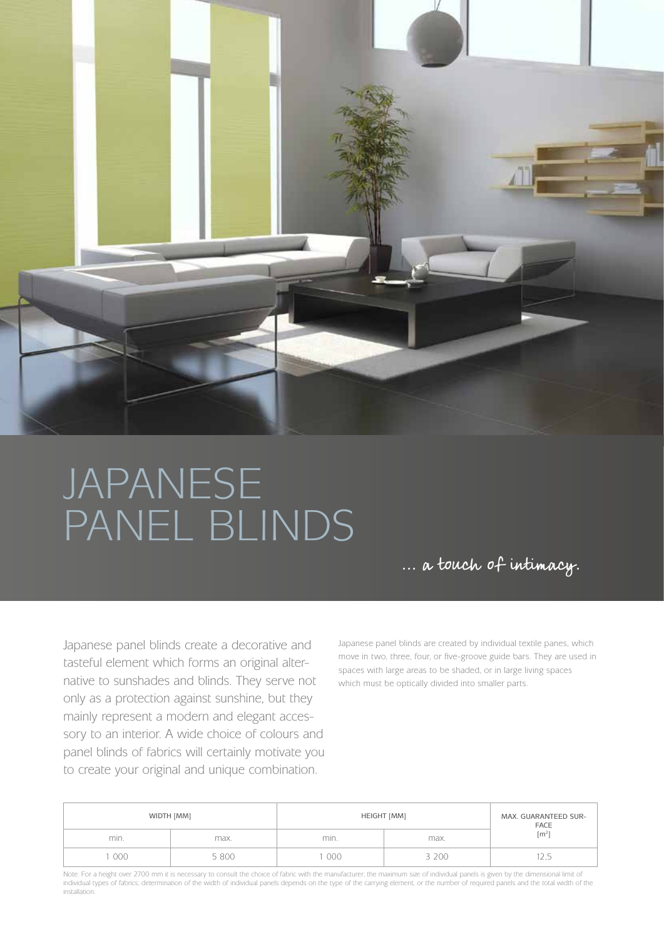

# JAPANESE PANEL BLINDS

**... a touch of intimacy.**

Japanese panel blinds create a decorative and tasteful element which forms an original alternative to sunshades and blinds. They serve not only as a protection against sunshine, but they mainly represent a modern and elegant accessory to an interior. A wide choice of colours and panel blinds of fabrics will certainly motivate you to create your original and unique combination.

Japanese panel blinds are created by individual textile panes, which move in two, three, four, or five-groove guide bars. They are used in spaces with large areas to be shaded, or in large living spaces which must be optically divided into smaller parts.

| WIDTH [MM] |       | HEIGHT [MM] |       | MAX. GUARANTEED SUR-<br>FACE |
|------------|-------|-------------|-------|------------------------------|
| min.       | max.  | min.        | max.  | $\lceil m^2 \rceil$          |
| 000        | 5 800 | 000         | 3 200 |                              |

Note: For a height over 2700 mm it is necessary to consult the choice of fabric with the manufacturer; the maximum size of individual panels is given by the dimensional limit of individual types of fabrics; determination of the width of individual panels depends on the type of the carrying element, or the number of required panels and the total width of the installation.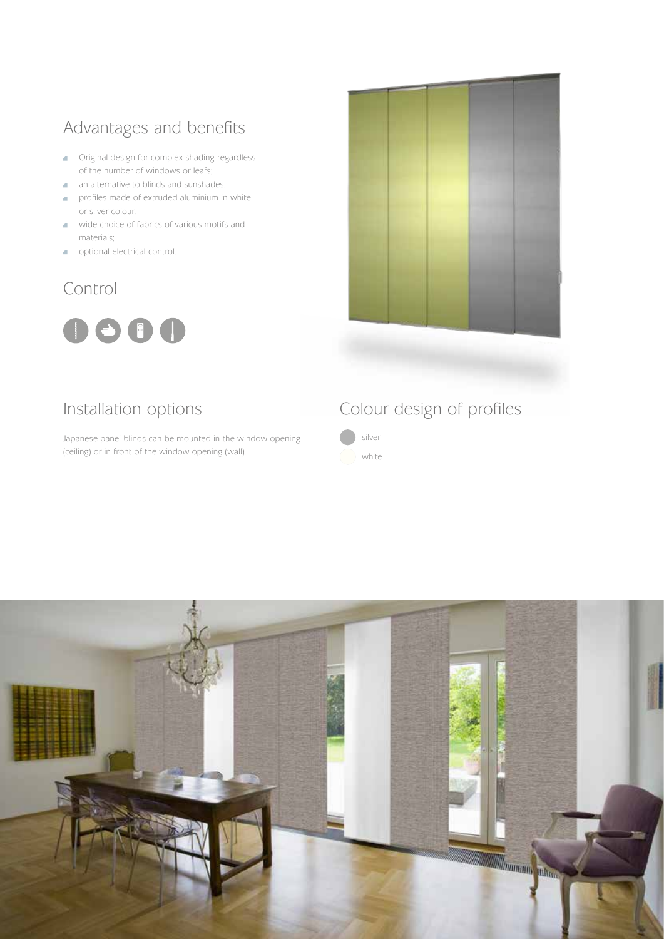#### Advantages and benefits

- Original design for complex shading regardless of the number of windows or leafs;
- an alternative to blinds and sunshades;
- **profiles made of extruded aluminium in white** or silver colour;
- wide choice of fabrics of various motifs and  $\alpha$ materials;
- **c** optional electrical control.

#### Control



#### Installation options

Japanese panel blinds can be mounted in the window opening (ceiling) or in front of the window opening (wall).

#### Colour design of profiles

| silver |
|--------|
| white  |

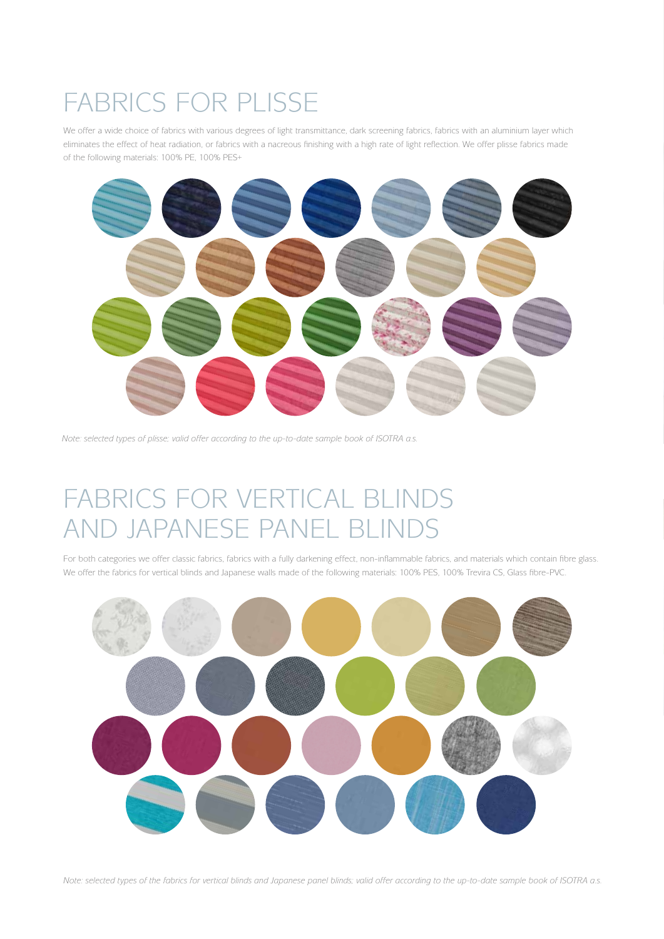## FABRICS FOR PLISSE

We offer a wide choice of fabrics with various degrees of light transmittance, dark screening fabrics, fabrics with an aluminium layer which eliminates the effect of heat radiation, or fabrics with a nacreous finishing with a high rate of light reflection. We offer plisse fabrics made of the following materials: 100% PE, 100% PES+



*Note: selected types of plisse; valid offer according to the up-to-date sample book of ISOTRA a.s.*

### FABRICS FOR VERTICAL BLINDS AND JAPANESE PANEL BLINDS

For both categories we offer classic fabrics, fabrics with a fully darkening effect, non-inflammable fabrics, and materials which contain fibre glass. We offer the fabrics for vertical blinds and Japanese walls made of the following materials: 100% PES, 100% Trevira CS, Glass fibre-PVC.



*Note: selected types of the fabrics for vertical blinds and Japanese panel blinds; valid offer according to the up-to-date sample book of ISOTRA a.s.*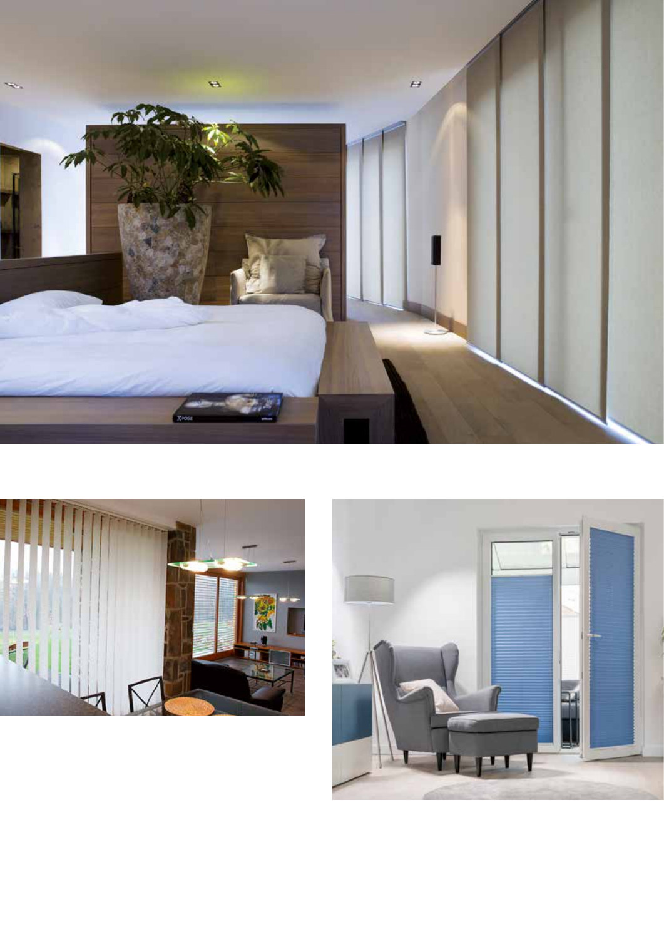